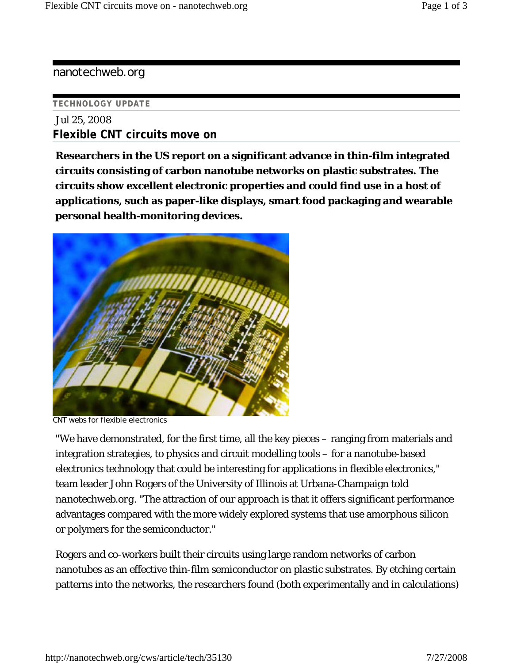## nanotechweb.org

## **TECHNOLOGY UPDATE**

Jul 25, 2008 **Flexible CNT circuits move on**

**Researchers in the US report on a significant advance in thin-film integrated circuits consisting of carbon nanotube networks on plastic substrates. The circuits show excellent electronic properties and could find use in a host of applications, such as paper-like displays, smart food packaging and wearable personal health-monitoring devices.** 



CNT webs for flexible electronics

"We have demonstrated, for the first time, all the key pieces – ranging from materials and integration strategies, to physics and circuit modelling tools – for a nanotube-based electronics technology that could be interesting for applications in flexible electronics," team leader John Rogers of the University of Illinois at Urbana-Champaign told *nanotechweb.org*. "The attraction of our approach is that it offers significant performance advantages compared with the more widely explored systems that use amorphous silicon or polymers for the semiconductor."

Rogers and co-workers built their circuits using large random networks of carbon nanotubes as an effective thin-film semiconductor on plastic substrates. By etching certain patterns into the networks, the researchers found (both experimentally and in calculations)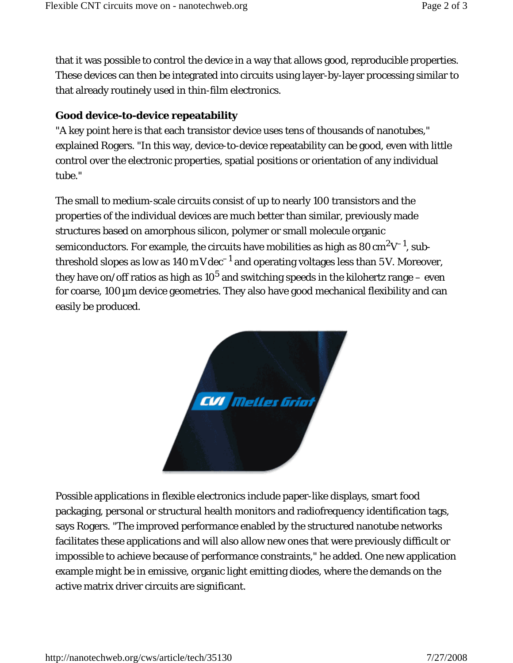that it was possible to control the device in a way that allows good, reproducible properties. These devices can then be integrated into circuits using layer-by-layer processing similar to that already routinely used in thin-film electronics.

## **Good device-to-device repeatability**

"A key point here is that each transistor device uses tens of thousands of nanotubes," explained Rogers. "In this way, device-to-device repeatability can be good, even with little control over the electronic properties, spatial positions or orientation of any individual tube."

The small to medium-scale circuits consist of up to nearly 100 transistors and the properties of the individual devices are much better than similar, previously made structures based on amorphous silicon, polymer or small molecule organic semiconductors. For example, the circuits have mobilities as high as  $80 \text{ cm}^2\text{V}^{-1}$ , subthreshold slopes as low as  $140 \text{ mV}\text{dec}^{-1}$  and operating voltages less than 5 V. Moreover, they have on/off ratios as high as  $10^5$  and switching speeds in the kilohertz range – even for coarse, 100µm device geometries. They also have good mechanical flexibility and can easily be produced.



Possible applications in flexible electronics include paper-like displays, smart food packaging, personal or structural health monitors and radiofrequency identification tags, says Rogers. "The improved performance enabled by the structured nanotube networks facilitates these applications and will also allow new ones that were previously difficult or impossible to achieve because of performance constraints," he added. One new application example might be in emissive, organic light emitting diodes, where the demands on the active matrix driver circuits are significant.